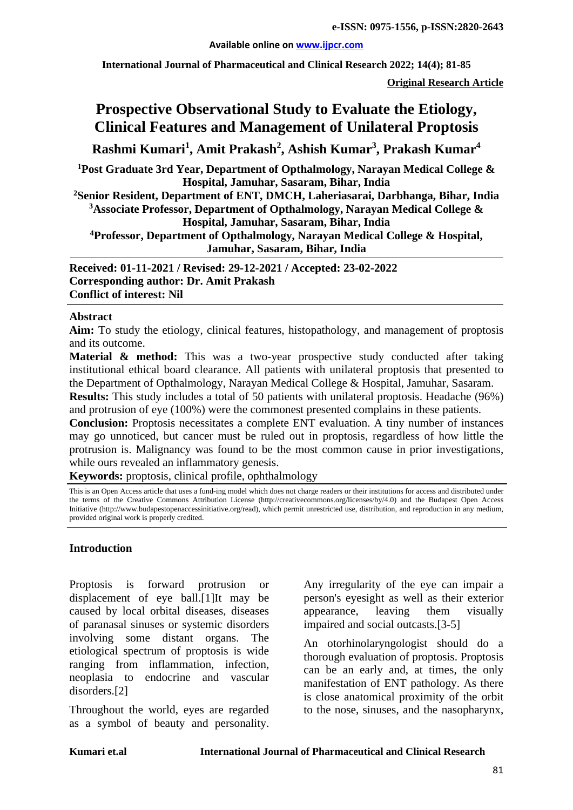**Available online on [www.ijpcr.com](http://www.ijpcr.com/)**

**International Journal of Pharmaceutical and Clinical Research 2022; 14(4); 81-85**

**Original Research Article**

# **Prospective Observational Study to Evaluate the Etiology, Clinical Features and Management of Unilateral Proptosis**

**Rashmi Kumari<sup>1</sup> , Amit Prakash<sup>2</sup> , Ashish Kumar3 , Prakash Kumar4**

**1 Post Graduate 3rd Year, Department of Opthalmology, Narayan Medical College & Hospital, Jamuhar, Sasaram, Bihar, India**

**2 Senior Resident, Department of ENT, DMCH, Laheriasarai, Darbhanga, Bihar, India 3 Associate Professor, Department of Opthalmology, Narayan Medical College & Hospital, Jamuhar, Sasaram, Bihar, India**

**4 Professor, Department of Opthalmology, Narayan Medical College & Hospital, Jamuhar, Sasaram, Bihar, India**

**Received: 01-11-2021 / Revised: 29-12-2021 / Accepted: 23-02-2022 Corresponding author: Dr. Amit Prakash Conflict of interest: Nil**

### **Abstract**

**Aim:** To study the etiology, clinical features, histopathology, and management of proptosis and its outcome.

**Material & method:** This was a two-year prospective study conducted after taking institutional ethical board clearance. All patients with unilateral proptosis that presented to the Department of Opthalmology, Narayan Medical College & Hospital, Jamuhar, Sasaram.

**Results:** This study includes a total of 50 patients with unilateral proptosis. Headache (96%) and protrusion of eye (100%) were the commonest presented complains in these patients.

**Conclusion:** Proptosis necessitates a complete ENT evaluation. A tiny number of instances may go unnoticed, but cancer must be ruled out in proptosis, regardless of how little the protrusion is. Malignancy was found to be the most common cause in prior investigations, while ours revealed an inflammatory genesis.

**Keywords:** proptosis, clinical profile, ophthalmology

This is an Open Access article that uses a fund-ing model which does not charge readers or their institutions for access and distributed under the terms of the Creative Commons Attribution License (http://creativecommons.org/licenses/by/4.0) and the Budapest Open Access Initiative (http://www.budapestopenaccessinitiative.org/read), which permit unrestricted use, distribution, and reproduction in any medium, provided original work is properly credited.

### **Introduction**

Proptosis is forward protrusion or displacement of eye ball.[1]It may be caused by local orbital diseases, diseases of paranasal sinuses or systemic disorders involving some distant organs. The etiological spectrum of proptosis is wide ranging from inflammation, infection, neoplasia to endocrine and vascular disorders.[2]

Throughout the world, eyes are regarded as a symbol of beauty and personality.

Any irregularity of the eye can impair a person's eyesight as well as their exterior appearance, leaving them visually impaired and social outcasts.[3-5]

An otorhinolaryngologist should do a thorough evaluation of proptosis. Proptosis can be an early and, at times, the only manifestation of ENT pathology. As there is close anatomical proximity of the orbit to the nose, sinuses, and the nasopharynx,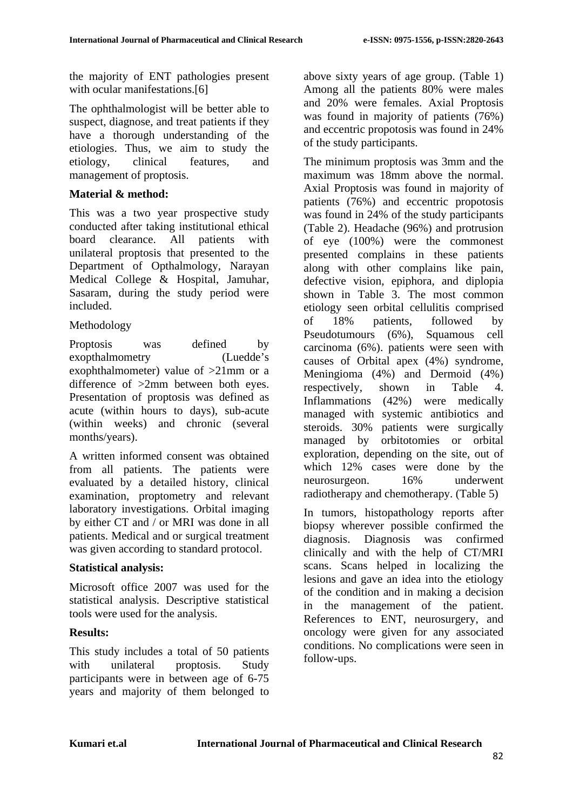the majority of ENT pathologies present with ocular manifestations.<sup>[6]</sup>

The ophthalmologist will be better able to suspect, diagnose, and treat patients if they have a thorough understanding of the etiologies. Thus, we aim to study the etiology, clinical features, and management of proptosis.

### **Material & method:**

This was a two year prospective study conducted after taking institutional ethical board clearance. All patients with unilateral proptosis that presented to the Department of Opthalmology, Narayan Medical College & Hospital, Jamuhar, Sasaram, during the study period were included.

### Methodology

Proptosis was defined by exopthalmometry (Luedde's exophthalmometer) value of >21mm or a difference of >2mm between both eyes. Presentation of proptosis was defined as acute (within hours to days), sub-acute (within weeks) and chronic (several months/years).

A written informed consent was obtained from all patients. The patients were evaluated by a detailed history, clinical examination, proptometry and relevant laboratory investigations. Orbital imaging by either CT and / or MRI was done in all patients. Medical and or surgical treatment was given according to standard protocol.

### **Statistical analysis:**

Microsoft office 2007 was used for the statistical analysis. Descriptive statistical tools were used for the analysis.

### **Results:**

This study includes a total of 50 patients with unilateral proptosis. Study participants were in between age of 6-75 years and majority of them belonged to

above sixty years of age group. (Table 1) Among all the patients 80% were males and 20% were females. Axial Proptosis was found in majority of patients (76%) and eccentric propotosis was found in 24% of the study participants.

The minimum proptosis was 3mm and the maximum was 18mm above the normal. Axial Proptosis was found in majority of patients (76%) and eccentric propotosis was found in 24% of the study participants (Table 2). Headache (96%) and protrusion of eye (100%) were the commonest presented complains in these patients along with other complains like pain, defective vision, epiphora, and diplopia shown in Table 3. The most common etiology seen orbital cellulitis comprised of 18% patients, followed by Pseudotumours (6%), Squamous cell carcinoma (6%). patients were seen with causes of Orbital apex (4%) syndrome, Meningioma (4%) and Dermoid (4%) respectively, shown in Table 4. Inflammations (42%) were medically managed with systemic antibiotics and steroids. 30% patients were surgically managed by orbitotomies or orbital exploration, depending on the site, out of which 12% cases were done by the neurosurgeon. 16% underwent radiotherapy and chemotherapy. (Table 5)

In tumors, histopathology reports after biopsy wherever possible confirmed the diagnosis. Diagnosis was confirmed clinically and with the help of CT/MRI scans. Scans helped in localizing the lesions and gave an idea into the etiology of the condition and in making a decision in the management of the patient. References to ENT, neurosurgery, and oncology were given for any associated conditions. No complications were seen in follow-ups.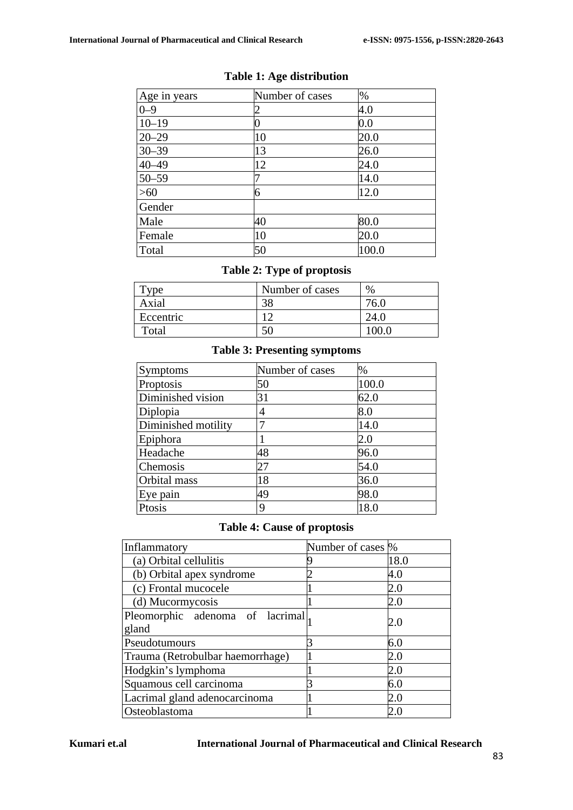| Age in years | Number of cases | $\%$  |
|--------------|-----------------|-------|
| $0 - 9$      |                 | 4.0   |
| $10 - 19$    |                 | 0.0   |
| $20 - 29$    | 10              | 20.0  |
| $30 - 39$    | 13              | 26.0  |
| $40 - 49$    | 12              | 24.0  |
| $50 - 59$    |                 | 14.0  |
| >60          | 6               | 12.0  |
| Gender       |                 |       |
| Male         | 40              | 80.0  |
| Female       | 10              | 20.0  |
| Total        | 50              | 100.0 |

# **Table 1: Age distribution**

# **Table 2: Type of proptosis**

| vpe       | Number of cases | $\%$ |
|-----------|-----------------|------|
| Axial     | 38              | 76 ( |
| Eccentric | $\overline{ }$  | 24.0 |
| Total     |                 |      |

### **Table 3: Presenting symptoms**

| Symptoms            | Number of cases | %     |
|---------------------|-----------------|-------|
| Proptosis           | 50              | 100.0 |
| Diminished vision   | 31              | 62.0  |
| Diplopia            | 4               | 8.0   |
| Diminished motility |                 | 14.0  |
| Epiphora            |                 | 2.0   |
| Headache            | 48              | 96.0  |
| Chemosis            | 27              | 54.0  |
| Orbital mass        | 18              | 36.0  |
| Eye pain            | 49              | 98.0  |
| Ptosis              | 9               | 18.0  |

# **Table 4: Cause of proptosis**

| Inflammatory                     | Number of cases \% |             |
|----------------------------------|--------------------|-------------|
| (a) Orbital cellulitis           |                    | 18.0        |
| (b) Orbital apex syndrome        |                    | 4.0         |
| (c) Frontal mucocele             |                    | 2.0         |
| (d) Mucormycosis                 |                    | 2.0         |
| Pleomorphic adenoma of lacrimal, |                    | 2.0         |
| gland                            |                    |             |
| Pseudotumours                    |                    | 6.0         |
| Trauma (Retrobulbar haemorrhage) |                    | 2.0         |
| Hodgkin's lymphoma               |                    | 2.0         |
| Squamous cell carcinoma          |                    | 6.0         |
| Lacrimal gland adenocarcinoma    |                    | 2.0         |
| Osteoblastoma                    |                    | 2. $\Gamma$ |

#### **Kumari et.al International Journal of Pharmaceutical and Clinical Research**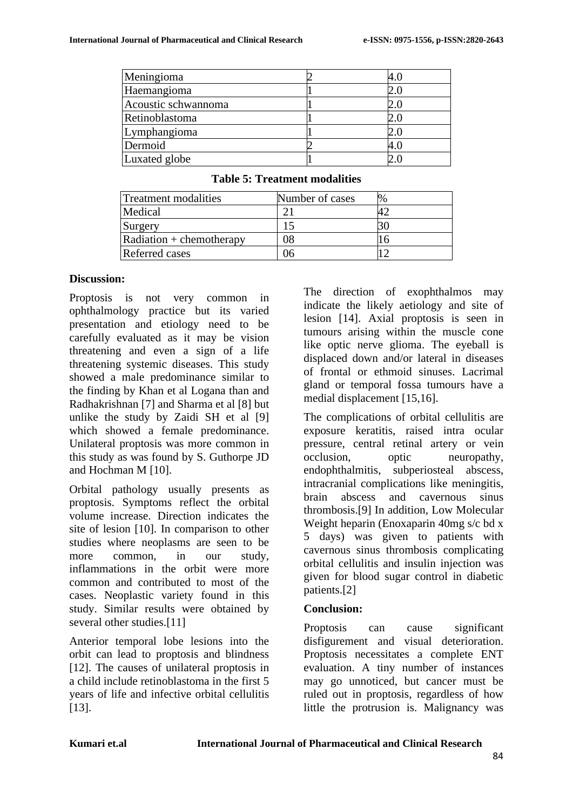| Meningioma          |         |
|---------------------|---------|
| Haemangioma         | $2.0\,$ |
| Acoustic schwannoma | 2.0     |
| Retinoblastoma      |         |
| Lymphangioma        | $2.0\,$ |
| Dermoid             | 4.0     |
| Luxated globe       |         |

| Treatment modalities             | Number of cases |  |
|----------------------------------|-----------------|--|
| Medical                          |                 |  |
| Surgery                          |                 |  |
| $\vert$ Radiation + chemotherapy | 18              |  |
| <b>Referred cases</b>            | Jh              |  |

#### **Table 5: Treatment modalities**

#### **Discussion:**

Proptosis is not very common in ophthalmology practice but its varied presentation and etiology need to be carefully evaluated as it may be vision threatening and even a sign of a life threatening systemic diseases. This study showed a male predominance similar to the finding by Khan et al Logana than and Radhakrishnan [7] and Sharma et al [8] but unlike the study by Zaidi SH et al [9] which showed a female predominance. Unilateral proptosis was more common in this study as was found by S. Guthorpe JD and Hochman M [10].

Orbital pathology usually presents as proptosis. Symptoms reflect the orbital volume increase. Direction indicates the site of lesion [10]. In comparison to other studies where neoplasms are seen to be more common, in our study, inflammations in the orbit were more common and contributed to most of the cases. Neoplastic variety found in this study. Similar results were obtained by several other studies.<sup>[11]</sup>

Anterior temporal lobe lesions into the orbit can lead to proptosis and blindness [12]. The causes of unilateral proptosis in a child include retinoblastoma in the first 5 years of life and infective orbital cellulitis [13].

The direction of exophthalmos may indicate the likely aetiology and site of lesion [14]. Axial proptosis is seen in tumours arising within the muscle cone like optic nerve glioma. The eyeball is displaced down and/or lateral in diseases of frontal or ethmoid sinuses. Lacrimal gland or temporal fossa tumours have a medial displacement [15,16].

The complications of orbital cellulitis are exposure keratitis, raised intra ocular pressure, central retinal artery or vein occlusion, optic neuropathy, endophthalmitis, subperiosteal abscess, intracranial complications like meningitis, brain abscess and cavernous sinus thrombosis.[9] In addition, Low Molecular Weight heparin (Enoxaparin 40mg s/c bd x 5 days) was given to patients with cavernous sinus thrombosis complicating orbital cellulitis and insulin injection was given for blood sugar control in diabetic patients.[2]

### **Conclusion:**

Proptosis can cause significant disfigurement and visual deterioration. Proptosis necessitates a complete ENT evaluation. A tiny number of instances may go unnoticed, but cancer must be ruled out in proptosis, regardless of how little the protrusion is. Malignancy was